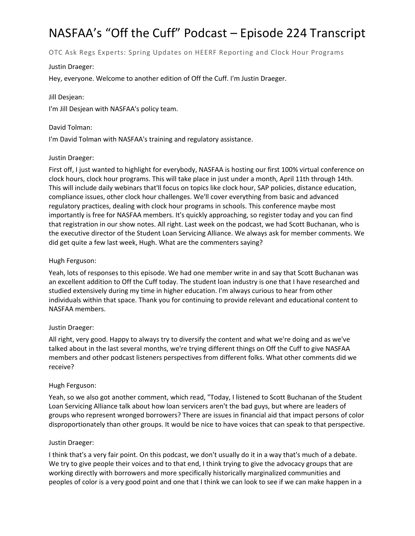# NASFAA's "Off the Cuff" Podcast – Episode 224 Transcript

OTC Ask Regs Experts: Spring Updates on HEERF Reporting and Clock Hour Programs

### Justin Draeger:

Hey, everyone. Welcome to another edition of Off the Cuff. I'm Justin Draeger.

## Jill Desjean:

I'm Jill Desjean with NASFAA's policy team.

### David Tolman:

I'm David Tolman with NASFAA's training and regulatory assistance.

## Justin Draeger:

First off, I just wanted to highlight for everybody, NASFAA is hosting our first 100% virtual conference on clock hours, clock hour programs. This will take place in just under a month, April 11th through 14th. This will include daily webinars that'll focus on topics like clock hour, SAP policies, distance education, compliance issues, other clock hour challenges. We'll cover everything from basic and advanced regulatory practices, dealing with clock hour programs in schools. This conference maybe most importantly is free for NASFAA members. It's quickly approaching, so register today and you can find that registration in our show notes. All right. Last week on the podcast, we had Scott Buchanan, who is the executive director of the Student Loan Servicing Alliance. We always ask for member comments. We did get quite a few last week, Hugh. What are the commenters saying?

## Hugh Ferguson:

Yeah, lots of responses to this episode. We had one member write in and say that Scott Buchanan was an excellent addition to Off the Cuff today. The student loan industry is one that I have researched and studied extensively during my time in higher education. I'm always curious to hear from other individuals within that space. Thank you for continuing to provide relevant and educational content to NASFAA members.

# Justin Draeger:

All right, very good. Happy to always try to diversify the content and what we're doing and as we've talked about in the last several months, we're trying different things on Off the Cuff to give NASFAA members and other podcast listeners perspectives from different folks. What other comments did we receive?

#### Hugh Ferguson:

Yeah, so we also got another comment, which read, "Today, I listened to Scott Buchanan of the Student Loan Servicing Alliance talk about how loan servicers aren't the bad guys, but where are leaders of groups who represent wronged borrowers? There are issues in financial aid that impact persons of color disproportionately than other groups. It would be nice to have voices that can speak to that perspective.

#### Justin Draeger:

I think that's a very fair point. On this podcast, we don't usually do it in a way that's much of a debate. We try to give people their voices and to that end, I think trying to give the advocacy groups that are working directly with borrowers and more specifically historically marginalized communities and peoples of color is a very good point and one that I think we can look to see if we can make happen in a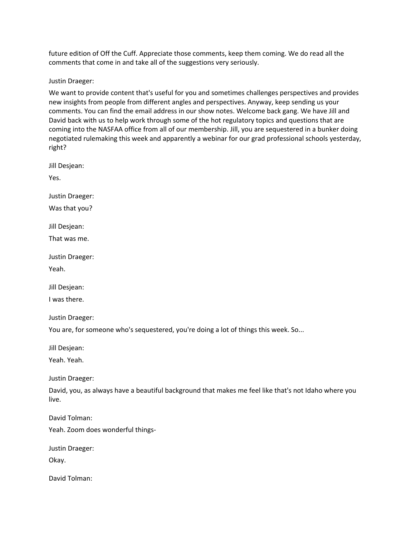future edition of Off the Cuff. Appreciate those comments, keep them coming. We do read all the comments that come in and take all of the suggestions very seriously.

Justin Draeger:

We want to provide content that's useful for you and sometimes challenges perspectives and provides new insights from people from different angles and perspectives. Anyway, keep sending us your comments. You can find the email address in our show notes. Welcome back gang. We have Jill and David back with us to help work through some of the hot regulatory topics and questions that are coming into the NASFAA office from all of our membership. Jill, you are sequestered in a bunker doing negotiated rulemaking this week and apparently a webinar for our grad professional schools yesterday, right?

Jill Desjean:

Yes.

Justin Draeger:

Was that you?

Jill Desjean:

That was me.

Justin Draeger:

Yeah.

Jill Desjean:

I was there.

Justin Draeger:

You are, for someone who's sequestered, you're doing a lot of things this week. So...

Jill Desjean:

Yeah. Yeah.

Justin Draeger:

David, you, as always have a beautiful background that makes me feel like that's not Idaho where you live.

David Tolman:

Yeah. Zoom does wonderful things-

Justin Draeger:

Okay.

David Tolman: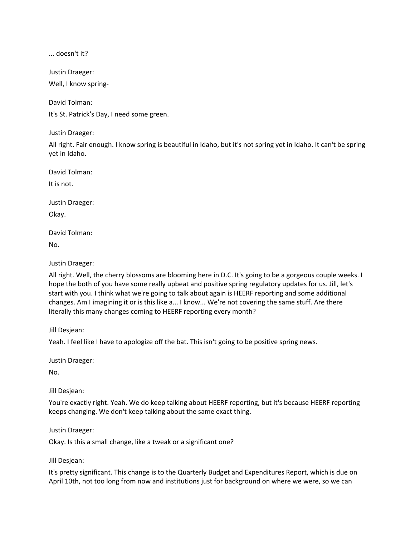... doesn't it?

Justin Draeger: Well, I know spring-

David Tolman:

It's St. Patrick's Day, I need some green.

Justin Draeger:

All right. Fair enough. I know spring is beautiful in Idaho, but it's not spring yet in Idaho. It can't be spring yet in Idaho.

David Tolman:

It is not.

Justin Draeger:

Okay.

David Tolman:

No.

Justin Draeger:

All right. Well, the cherry blossoms are blooming here in D.C. It's going to be a gorgeous couple weeks. I hope the both of you have some really upbeat and positive spring regulatory updates for us. Jill, let's start with you. I think what we're going to talk about again is HEERF reporting and some additional changes. Am I imagining it or is this like a... I know... We're not covering the same stuff. Are there literally this many changes coming to HEERF reporting every month?

Jill Desjean:

Yeah. I feel like I have to apologize off the bat. This isn't going to be positive spring news.

Justin Draeger:

No.

Jill Desjean:

You're exactly right. Yeah. We do keep talking about HEERF reporting, but it's because HEERF reporting keeps changing. We don't keep talking about the same exact thing.

Justin Draeger:

Okay. Is this a small change, like a tweak or a significant one?

Jill Desjean:

It's pretty significant. This change is to the Quarterly Budget and Expenditures Report, which is due on April 10th, not too long from now and institutions just for background on where we were, so we can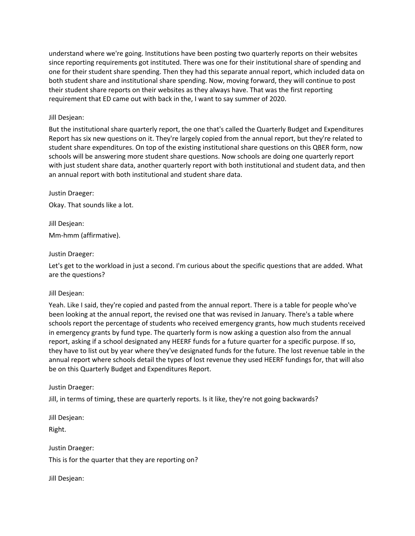understand where we're going. Institutions have been posting two quarterly reports on their websites since reporting requirements got instituted. There was one for their institutional share of spending and one for their student share spending. Then they had this separate annual report, which included data on both student share and institutional share spending. Now, moving forward, they will continue to post their student share reports on their websites as they always have. That was the first reporting requirement that ED came out with back in the, I want to say summer of 2020.

#### Jill Desjean:

But the institutional share quarterly report, the one that's called the Quarterly Budget and Expenditures Report has six new questions on it. They're largely copied from the annual report, but they're related to student share expenditures. On top of the existing institutional share questions on this QBER form, now schools will be answering more student share questions. Now schools are doing one quarterly report with just student share data, another quarterly report with both institutional and student data, and then an annual report with both institutional and student share data.

Justin Draeger:

Okay. That sounds like a lot.

Jill Desjean: Mm-hmm (affirmative).

#### Justin Draeger:

Let's get to the workload in just a second. I'm curious about the specific questions that are added. What are the questions?

#### Jill Desjean:

Yeah. Like I said, they're copied and pasted from the annual report. There is a table for people who've been looking at the annual report, the revised one that was revised in January. There's a table where schools report the percentage of students who received emergency grants, how much students received in emergency grants by fund type. The quarterly form is now asking a question also from the annual report, asking if a school designated any HEERF funds for a future quarter for a specific purpose. If so, they have to list out by year where they've designated funds for the future. The lost revenue table in the annual report where schools detail the types of lost revenue they used HEERF fundings for, that will also be on this Quarterly Budget and Expenditures Report.

#### Justin Draeger:

Jill, in terms of timing, these are quarterly reports. Is it like, they're not going backwards?

Jill Desjean: Right.

Justin Draeger: This is for the quarter that they are reporting on?

Jill Desjean: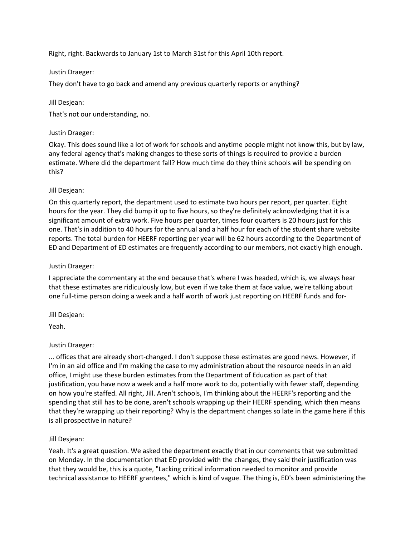Right, right. Backwards to January 1st to March 31st for this April 10th report.

### Justin Draeger:

They don't have to go back and amend any previous quarterly reports or anything?

## Jill Desjean:

That's not our understanding, no.

## Justin Draeger:

Okay. This does sound like a lot of work for schools and anytime people might not know this, but by law, any federal agency that's making changes to these sorts of things is required to provide a burden estimate. Where did the department fall? How much time do they think schools will be spending on this?

## Jill Desjean:

On this quarterly report, the department used to estimate two hours per report, per quarter. Eight hours for the year. They did bump it up to five hours, so they're definitely acknowledging that it is a significant amount of extra work. Five hours per quarter, times four quarters is 20 hours just for this one. That's in addition to 40 hours for the annual and a half hour for each of the student share website reports. The total burden for HEERF reporting per year will be 62 hours according to the Department of ED and Department of ED estimates are frequently according to our members, not exactly high enough.

#### Justin Draeger:

I appreciate the commentary at the end because that's where I was headed, which is, we always hear that these estimates are ridiculously low, but even if we take them at face value, we're talking about one full-time person doing a week and a half worth of work just reporting on HEERF funds and for-

Jill Desjean:

Yeah.

# Justin Draeger:

... offices that are already short-changed. I don't suppose these estimates are good news. However, if I'm in an aid office and I'm making the case to my administration about the resource needs in an aid office, I might use these burden estimates from the Department of Education as part of that justification, you have now a week and a half more work to do, potentially with fewer staff, depending on how you're staffed. All right, Jill. Aren't schools, I'm thinking about the HEERF's reporting and the spending that still has to be done, aren't schools wrapping up their HEERF spending, which then means that they're wrapping up their reporting? Why is the department changes so late in the game here if this is all prospective in nature?

# Jill Desjean:

Yeah. It's a great question. We asked the department exactly that in our comments that we submitted on Monday. In the documentation that ED provided with the changes, they said their justification was that they would be, this is a quote, "Lacking critical information needed to monitor and provide technical assistance to HEERF grantees," which is kind of vague. The thing is, ED's been administering the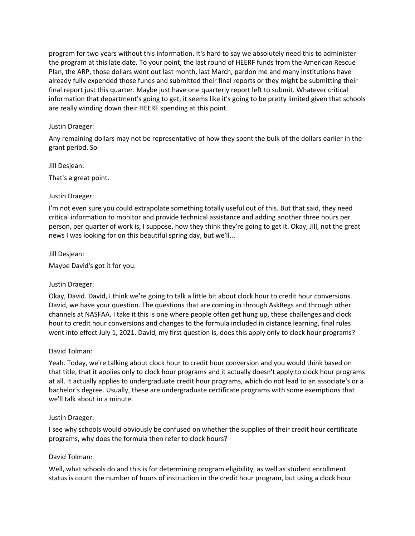program for two years without this information. It's hard to say we absolutely need this to administer the program at this late date. To your point, the last round of HEERF funds from the American Rescue Plan, the ARP, those dollars went out last month, last March, pardon me and many institutions have already fully expended those funds and submitted their final reports or they might be submitting their final report just this quarter. Maybe just have one quarterly report left to submit. Whatever critical information that department's going to get, it seems like it's going to be pretty limited given that schools are really winding down their HEERF spending at this point.

### Justin Draeger:

Any remaining dollars may not be representative of how they spent the bulk of the dollars earlier in the grant period. So-

Jill Desjean:

That's a great point.

#### Justin Draeger:

I'm not even sure you could extrapolate something totally useful out of this. But that said, they need critical information to monitor and provide technical assistance and adding another three hours per person, per quarter of work is, I suppose, how they think they're going to get it. Okay, Jill, not the great news I was looking for on this beautiful spring day, but we'll...

#### Jill Desjean:

Maybe David's got it for you.

#### Justin Draeger:

Okay, David. David, I think we're going to talk a little bit about clock hour to credit hour conversions. David, we have your question. The questions that are coming in through AskRegs and through other channels at NASFAA. I take it this is one where people often get hung up, these challenges and clock hour to credit hour conversions and changes to the formula included in distance learning, final rules went into effect July 1, 2021. David, my first question is, does this apply only to clock hour programs?

#### David Tolman:

Yeah. Today, we're talking about clock hour to credit hour conversion and you would think based on that title, that it applies only to clock hour programs and it actually doesn't apply to clock hour programs at all. It actually applies to undergraduate credit hour programs, which do not lead to an associate's or a bachelor's degree. Usually, these are undergraduate certificate programs with some exemptions that we'll talk about in a minute.

#### Justin Draeger:

I see why schools would obviously be confused on whether the supplies of their credit hour certificate programs, why does the formula then refer to clock hours?

#### David Tolman:

Well, what schools do and this is for determining program eligibility, as well as student enrollment status is count the number of hours of instruction in the credit hour program, but using a clock hour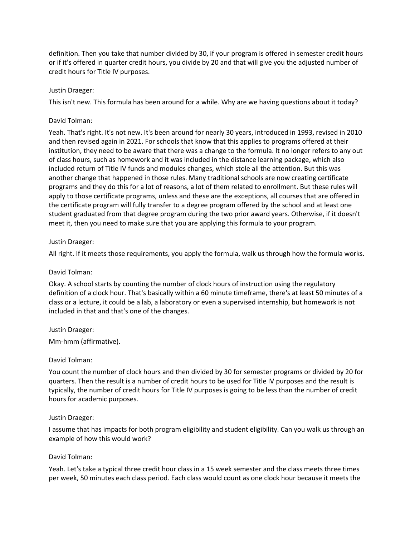definition. Then you take that number divided by 30, if your program is offered in semester credit hours or if it's offered in quarter credit hours, you divide by 20 and that will give you the adjusted number of credit hours for Title IV purposes.

### Justin Draeger:

This isn't new. This formula has been around for a while. Why are we having questions about it today?

### David Tolman:

Yeah. That's right. It's not new. It's been around for nearly 30 years, introduced in 1993, revised in 2010 and then revised again in 2021. For schools that know that this applies to programs offered at their institution, they need to be aware that there was a change to the formula. It no longer refers to any out of class hours, such as homework and it was included in the distance learning package, which also included return of Title IV funds and modules changes, which stole all the attention. But this was another change that happened in those rules. Many traditional schools are now creating certificate programs and they do this for a lot of reasons, a lot of them related to enrollment. But these rules will apply to those certificate programs, unless and these are the exceptions, all courses that are offered in the certificate program will fully transfer to a degree program offered by the school and at least one student graduated from that degree program during the two prior award years. Otherwise, if it doesn't meet it, then you need to make sure that you are applying this formula to your program.

## Justin Draeger:

All right. If it meets those requirements, you apply the formula, walk us through how the formula works.

#### David Tolman:

Okay. A school starts by counting the number of clock hours of instruction using the regulatory definition of a clock hour. That's basically within a 60 minute timeframe, there's at least 50 minutes of a class or a lecture, it could be a lab, a laboratory or even a supervised internship, but homework is not included in that and that's one of the changes.

#### Justin Draeger:

Mm-hmm (affirmative).

#### David Tolman:

You count the number of clock hours and then divided by 30 for semester programs or divided by 20 for quarters. Then the result is a number of credit hours to be used for Title IV purposes and the result is typically, the number of credit hours for Title IV purposes is going to be less than the number of credit hours for academic purposes.

#### Justin Draeger:

I assume that has impacts for both program eligibility and student eligibility. Can you walk us through an example of how this would work?

#### David Tolman:

Yeah. Let's take a typical three credit hour class in a 15 week semester and the class meets three times per week, 50 minutes each class period. Each class would count as one clock hour because it meets the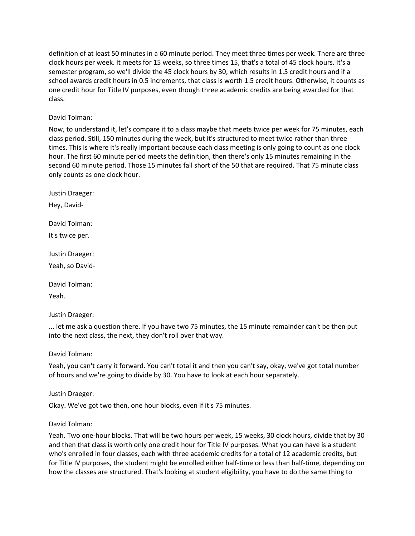definition of at least 50 minutes in a 60 minute period. They meet three times per week. There are three clock hours per week. It meets for 15 weeks, so three times 15, that's a total of 45 clock hours. It's a semester program, so we'll divide the 45 clock hours by 30, which results in 1.5 credit hours and if a school awards credit hours in 0.5 increments, that class is worth 1.5 credit hours. Otherwise, it counts as one credit hour for Title IV purposes, even though three academic credits are being awarded for that class.

#### David Tolman:

Now, to understand it, let's compare it to a class maybe that meets twice per week for 75 minutes, each class period. Still, 150 minutes during the week, but it's structured to meet twice rather than three times. This is where it's really important because each class meeting is only going to count as one clock hour. The first 60 minute period meets the definition, then there's only 15 minutes remaining in the second 60 minute period. Those 15 minutes fall short of the 50 that are required. That 75 minute class only counts as one clock hour.

Justin Draeger:

Hey, David-

David Tolman:

It's twice per.

Justin Draeger:

Yeah, so David-

David Tolman:

Yeah.

Justin Draeger:

... let me ask a question there. If you have two 75 minutes, the 15 minute remainder can't be then put into the next class, the next, they don't roll over that way.

David Tolman:

Yeah, you can't carry it forward. You can't total it and then you can't say, okay, we've got total number of hours and we're going to divide by 30. You have to look at each hour separately.

Justin Draeger:

Okay. We've got two then, one hour blocks, even if it's 75 minutes.

#### David Tolman:

Yeah. Two one-hour blocks. That will be two hours per week, 15 weeks, 30 clock hours, divide that by 30 and then that class is worth only one credit hour for Title IV purposes. What you can have is a student who's enrolled in four classes, each with three academic credits for a total of 12 academic credits, but for Title IV purposes, the student might be enrolled either half-time or less than half-time, depending on how the classes are structured. That's looking at student eligibility, you have to do the same thing to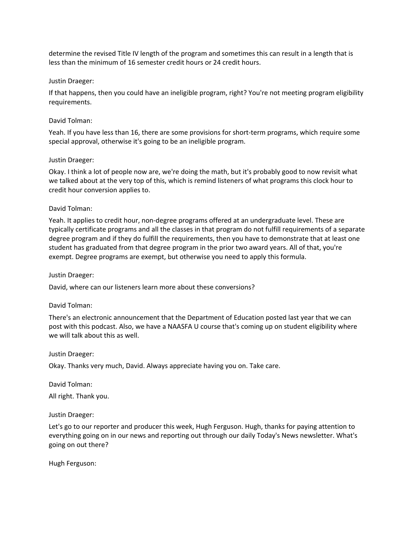determine the revised Title IV length of the program and sometimes this can result in a length that is less than the minimum of 16 semester credit hours or 24 credit hours.

#### Justin Draeger:

If that happens, then you could have an ineligible program, right? You're not meeting program eligibility requirements.

#### David Tolman:

Yeah. If you have less than 16, there are some provisions for short-term programs, which require some special approval, otherwise it's going to be an ineligible program.

#### Justin Draeger:

Okay. I think a lot of people now are, we're doing the math, but it's probably good to now revisit what we talked about at the very top of this, which is remind listeners of what programs this clock hour to credit hour conversion applies to.

#### David Tolman:

Yeah. It applies to credit hour, non-degree programs offered at an undergraduate level. These are typically certificate programs and all the classes in that program do not fulfill requirements of a separate degree program and if they do fulfill the requirements, then you have to demonstrate that at least one student has graduated from that degree program in the prior two award years. All of that, you're exempt. Degree programs are exempt, but otherwise you need to apply this formula.

#### Justin Draeger:

David, where can our listeners learn more about these conversions?

#### David Tolman:

There's an electronic announcement that the Department of Education posted last year that we can post with this podcast. Also, we have a NAASFA U course that's coming up on student eligibility where we will talk about this as well.

#### Justin Draeger:

Okay. Thanks very much, David. Always appreciate having you on. Take care.

David Tolman:

All right. Thank you.

#### Justin Draeger:

Let's go to our reporter and producer this week, Hugh Ferguson. Hugh, thanks for paying attention to everything going on in our news and reporting out through our daily Today's News newsletter. What's going on out there?

Hugh Ferguson: